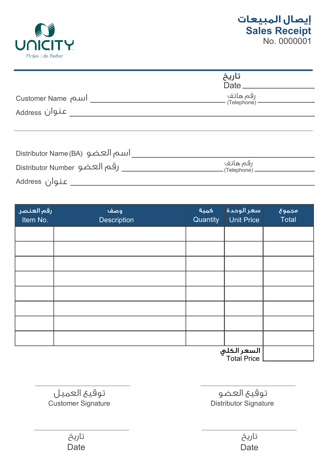

|                                 | تاريخ<br>$Date$ <sub><math>\_\_</math></sub> |  |
|---------------------------------|----------------------------------------------|--|
| Customer Name                   | رقم هاتف<br>(Telephone) -                    |  |
| عنوان Address                   |                                              |  |
|                                 |                                              |  |
|                                 |                                              |  |
| Distributor Name (BA) اسم العضو |                                              |  |
| رقم العضو Distributor Number    | رقم هاتف<br>(Telephone).                     |  |

Address عنوان

| رقم العنصر.<br>Item No. | وصف<br>Description | كمية<br>Quantity | سعر الوحدة<br>Unit Price   | مجموع<br>Total |
|-------------------------|--------------------|------------------|----------------------------|----------------|
|                         |                    |                  |                            |                |
|                         |                    |                  |                            |                |
|                         |                    |                  |                            |                |
|                         |                    |                  |                            |                |
|                         |                    |                  |                            |                |
|                         |                    |                  |                            |                |
|                         |                    |                  |                            |                |
|                         |                    |                  |                            |                |
|                         |                    |                  | السعر الكلي<br>Total Price |                |

**Customer Signature Customer Signature Customer Signature** توقيع العضو توقيع العميل

| تاريخ | تاريخ |
|-------|-------|
| Date  | Date  |

Date **Date Date Date**